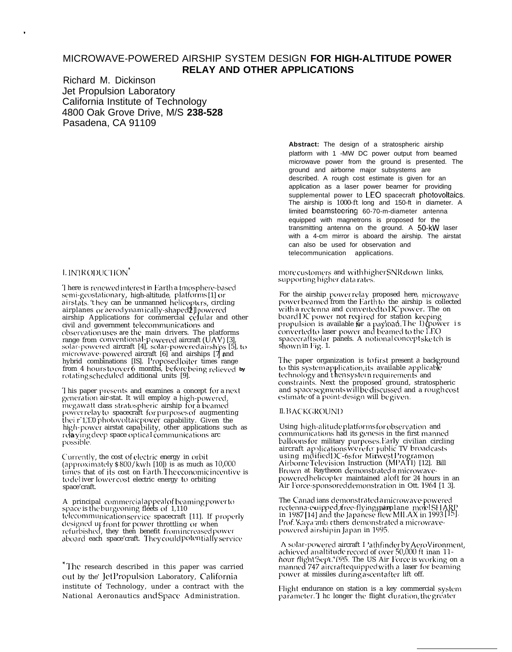# MICROWAVE-POWERED AIRSHIP SYSTEM DESIGN **FOR HIGH-ALTITUDE POWER RELAY AND OTHER APPLICATIONS**

Richard M. Dickinson Jet Propulsion Laboratory California Institute of Technology 4800 Oak Grove Drive, M/S **238-528** Pasadena, CA 91109

# I. INTRODUCTION<sup>\*</sup>

.

There is renewed interest in Earth a tmosphere-based semi-geostationary, high-altitude, platforms [1] or airstats. 't hey can be unmanned helicopters, circling airplanes or aerodynamically-shaped2]] powered<br>airship Applications for commercial cellular and other<br>sist and other airplanes or aerod ynamically-shaped2] powered civil and government telecommunications and observation uses are the main-drivers. The platforms range from conventional-powered aircraft (UAV) [3],<br>solar-powered aircraft [4], solar-poweredairships [5], to<br>microwave-powered aircraft [6] and airships [7] and hybrid combinations [IS]. Proposed loiter times range from 4 hours to over 6 months, before being relieved by rotating scheduled additional units [9].

I his paper presents and examines a concept for a next generation air-stat. It will employ a high-powered, megawatt class stratospheric airship for a beamed power relay to spacecraft for purposes of augmenting thei r 1,1.0 photovoltaicpower capability. Given the high-power airstat capability, other applications such as relaying deep space optical communications arc possible.

Currently, the cost of electric energy in orbit (approximately  $$800/kwh$  [10]) is as much as 10,000 times that of its cost on Earth The economic incentive is to deliver lower cost electric energy to orbiting space'craft.

A -principal-commercial appeal of beaming power to space is the burgeoning fleets of 1,110 telecommunication service spacecraft [11]. If properly designed upfront for power throttling or when<br>refurbished, they then benefit fromincreasedpowe: aboard each space'craft. They could potentially service

\* The research described in this paper was carried out by the' JetPropulsion Laboratory, California institute of Technology, under a contract with the National Aeronautics and Space Administration.

**Abstract:** The design of a stratospheric airship platform with 1 -MW DC power output from beamed microwave power from the ground is presented. The ground and airborne major subsystems are described. A rough cost estimate is given for an application as a laser power beamer for providing supplemental power to LEO spacecraft photovoltaics. The airship is 1000-ft long and 150-ft in diameter. A limited beamsteering 60-70-m-diameter antenna equipped with magnetrons is proposed for the transmitting antenna on the ground. A 50-kW laser with a 4-cm mirror is aboard the airship. The airstat can also be used for observation and telecommunication applications.

more customers and with higher SNR down-links, supporting higher data rates.

For the airship power relay proposed here, microwave power beamed from the Earth to the airship is collected with a rectenna and converted to DC power. The on board DC power not required for station keeping<br>propulsion is available for a payload. The I) (power is<br>included: converted to laser power and beamed to the LEO spacecraft solar panels. A notional concept ske tch is shown in Fig. 1.

The paper organization is to first present a background to this system application, its available applicable technology and then system requirements and constraints. Next the proposed ground, stratospheric and space segments will be discussed and a rough cost estimate of a point-design will be given.

## Il. BACKGROUND

Using high-alitude platforms for observation and<br>communications had its genesis in the first mannec balloons for military purposes.Early civilian circling  $_{\rm O1}$ aircraft applications we refer public TV broadcasts<br>using mdifiedDC-6sfor Minwest Program on Airborne Tele\,ision Instruction (M PATI) [12]. Bill Brown at Raytheon demonstrated a microwavepowered helicopter maintained aloft for 24 hours in an Air Force-sponsoreddemonstration in Ott. 1964 [1 3].

The Canad ians demonst rated a microwave-powered rectenma-etupped, tree-hymgraalprane "moth SHAN"<br>in 1987 [14] and the Japanese flew MILAX in 1993 [15] rectenna-e uipped, free-flying gairplane molel SHARI' Prof. Kaya and cthers demonstrated a microwavepowered airship in Japan in 1995.

A solar-powered aircraft I 'athfinder by AeroVironment, achieved an altitude record of over 50,000 ft inan 11hour flight Sept. 1955. The US-Air-Force is working on a manned 747 aircraft equipped with a laser for beaming power at missiles during ascentafter lift off.

Flight endurance on station is a key commercial system parameter. 1 hc longer the flight duration, the greater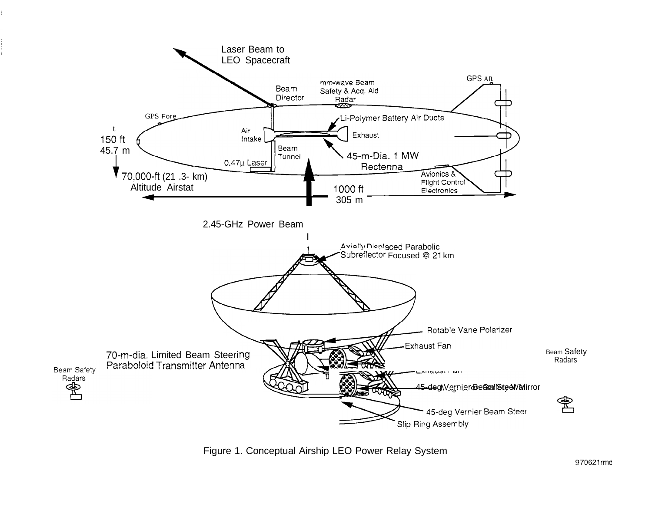



970621rmd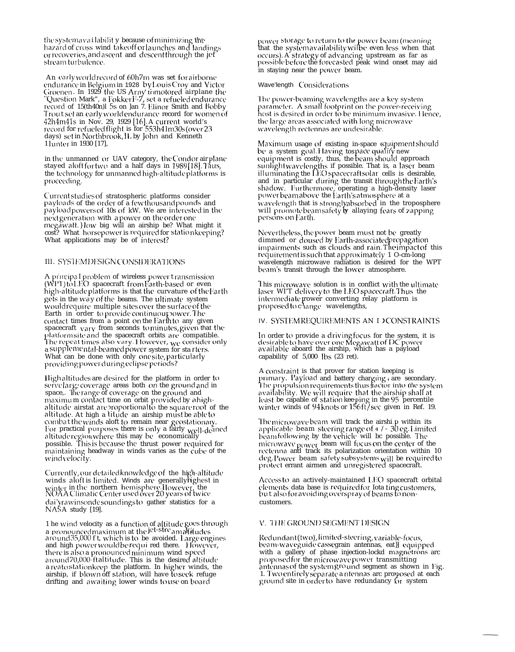the systemavailability because of minimizing the hazard of cross wind takeoff or launches and landings or recoveries, and ascent and descent through the jet stream turbulence.

An early world record of 60h7m was set for airborne and analytic in Belgium in 1928 by Louis Croy and Victor<br>Groenen. In 1929 the US Arny trimotored airplane the<br>"Question Mark", a Fokker F-7, set a refueled endurance<br>record of 15(th40n)1 5s on Jan 7. Elinor Smith and Bobby Trout set an early worldendurance record for women of 42h4m41s in Nov. 29, 1929 [16]. A current world's record for refueled flight is for 553h41m30s (over 23 days) set in Northbrook, IL by John and Kenneth 1 lunter in 1930 [17],

in the unmanned or UAV category, the Condor air plane stayed aloftfortwo and a half days in 1989[18]. Thus, the technology for unmanned high-altitude platforms is proceeding.

Current studies of stratospheric platforms consider payloads of the order of a fewthousand pounds and payload powers of 10s of kW. We are interested in the next generation with apower on the order one megawatt.} low big will an airship be? What might it cost? What horsepower is required for stationkeeping? What applications may be of interest?

## III. SYSTEMDESIGN CONSIDERATIONS

A principal problem of wireless power transmission<br>(WPT)toLEO spacecraft fromEarth-based or even high-altitude platforms is that the curvature of the Earth gets in the way of the beams. The ultimate system would require multiple sites over the surface of the Earth in order to provide continuour power. The contact times from a point on the Earth to any given spacecraft vary from seconds to minutes, given that the platformsite and the spacecraft orbits are compatible.<br>The repeat times also vary. However, we consider only a supplemental-beamed power system for sta riers. What can be done with only one site, particularly<br>providing power during eclipse periods?

Highaltitudes are desired for the platform in order to servelarge coverage areas both on the ground and in<br>space.. The range of coverage on the ground and maximum contact time on orbit provided by a high-<br>altitude airstat are proportional to the square root of the altitude. At high a litude an airship must be ableto combat the winds aloft to remain near geostationary.<br>For practical purposes there is only a fairly well-deined altitude region where this may be economically possible. This is because the thrust power required for maintaining headway in winds varies as the cube of the wind velocity.

Currently, our detailed knowledge of the high-altitude winds aloft is limited. Winds are generally highest in<br>winter in the northern hemisphere. However, the<br>NOAA Climatic Center used over 20 years of twice dailyrawinsonde soundings to gather statistics for a<br>NASA study [19].

1 he wind velocity as a function of altitude goes through a pronounced maximum at the let-stre amaltitudes<br>around 35,000 f t, which is to be avoided. Large engines<br>and high power would be required there. However, there is also a pronounced minimum wind speed<br>around 70,000-ftallitude. This is the desired altitude a reatostationkeep the platform. In higher winds, the airship, if blown off station, will have to seek refuge drifting and awaiting lower winds to use on board

power storage to return to the power beam (meaning<br>that the systemavailability wilbe even less when that occurs). A strategy of advancing upstream as far as possible before the forecasted peak wind onset may aid in staying near the power beam.

#### Wave'length Considerations

The power-beaming wavelengths are a key system parameter. A small footprint on the power-receiving host is desired in order to be minimum invasive. Hence, the large areas associated with long microwave wavelength rectennas are undesirable.

Maximum usage of existing in-space equipment should<br>be a system goal.Having tospace qualify new equipment is costly, thus, the beam should approach suppliers to coldy, thus, the following the product depression<br>sunlightwavelengths if possible. That is, a laser beam<br>illuminating the LEO spacecraftsolar cells is desirable, and in particular during the transit through the Earth's shadow. Furthermore, operating a high-density laser<br>powerbeamabove the Earth's atmosphere at a wavelength that is stronglyabsorbed in the troposphere will promote beamsafety by allaying fears of zapping persons on Earth.

Nevertheless, the power beam must not be greatly dimmed or doused by Earth-associatedpropagation<br>impairments such as clouds and rain. The impact of this requirement is such that approximately 1 O-cm-long<br>wavelength microwave radiation is desired for the WPT beam's transit through the lower atmosphere.

This microwave solution is in conflict with the ultimate laser WIT delivery to the LEO spacecraft. Thus the intermediate power converting relay platform is proposed to change wavelengths,

## IV. SYSTEMREQUIREMENTS AN IDCONSTRAINTS

In order to provide a driving focus for the system, it is<br>desirable to have over one Megawatt of DC power<br>available aboard the airship, which has a payload capability of 5,000 lbs (23 ret).

A constraint is that prover for station keeping is primary. Payload and battery charging are secondary.<br>The propulsion requirements thus fractor into the system availability. We will require that the airship shall at least be capable of station keeping in the 95 percentile<br>winter winds of 94 knots or 156ft/sec given in Ref. 19.

The microwave beam will track the airshi p within its<br>applicable beam steering range of  $+/-30$  eg. Limited beamfollowing by the vehicle will be possible. The microwave power beam will focus on the center of the rectenna and track its polarization orientation within 10 deg. Power beam safety subsystems will be required to<br>protect errant airmen and unregistered spacecraft.

Access to an actively-maintained LEO spacecraft orbital elements data base is required for lota ting customers,<br>but also for avoiding overspray of beams to noncustomers.

## V. THE GROUND SEGMENT DESIGN

Redundant (two), limited-steering, variable-focus, beam-waveguide cassegrain antennas, eat}] equipped with a gallery of phase injection-lockd magnetrons arc proposed for the microwave power transmitting antennas of the system ground segment as shown in Fig. 1. Two entirely separate a ntennas are proposed at each ground site in order to have redundancy for system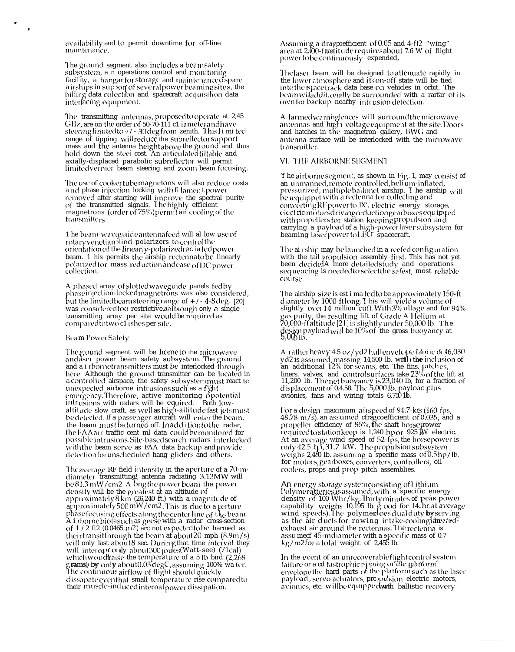availability and to permit downtime for off-line maintenance.

The ground segment also includes a beam safety subsystem, a n operations control and monitoring facility, a hangarfor storage and maintenance ospare a irships in support of several power beaming site s, the billing data colection and spacecraft acquisition data interfacing equipment.

The transmitting antennas, proposed to operate at 2,45 GHz, are on the order of 50-70-111 c1 iameter and have steering limited to +/- 30 deg from zenith. This limited range of tipping will reduce the subreflector support mass and the antenna height above the ground and thus hold down the steel cost. An articulated tiltable and axially-displaced parabolic subreflector will permit limitedvernier beam steering and zoom beam focusing.

The use of cooker tube magnetons will also reduce costs and phase injection locking with filament power removed after starting will improve the spectral purity<br>of the transmitted signals. The highly efficient magnetrons (order of 75%) permit air cooling of the transmitters.

1 he beam-waveguide antennafeed will al low use of rotary venetian lind polarizers to control the orientation of the linearly-polarized radia tedpower beam. 1 his permits the airship rectennato be linearly polarized for mass reduction and ease of DC power collection.

A phased array of slotted waveguide panels fedby<br>phase injection-locked magnetrons was also considered, but the limited beam steering range of  $+/-4-8$  deg. [20] was considered too restrictive, aal hough only a single transmitting array per site would be required as<br>compared to two c1 is hes per site.

#### Beam Power Safety

The gound segment will be home to the microwave andaser power beam safety subsystem. The ground and a i rbornetransmitters must be interlocked through here. Although the ground transmitter can be located in a controlled airspace, the safety subsystemmust react to unexpected airborne intrusions such as a fight emergency. Therefore, active monitoring opotential<br>intrusions with radars will be equired. Both low-<br>altitude slow craft, as well as high-altitude fast jets must be detected. If a passenger aircraft will enter the beam, the beam must be turned off. In addition to the radar, the FAAair traffic cent ml data couldbe monitored for possible intrusions. Site-based search radars interlocked with the beam serve as FAA data backup and provide detection for unscheduled hang gliders and others.

The average RF field intensity in the aperture of a 70-m-<br>diameter transmitting, antenna radiating 3.13MW will be 81.3mW/cm2. A ong the power beam the power density will be the greatest at an altitude of<br>approximately8km (26,240 ft.) with a magnitude of<br>approximately500 mW/cm2. This is due to a perture phase focusing effects along the center line of the beam. A i rborne biolasuch as geese with a radar cross-section<br>of  $1/2$  ft2 (0.0465 m2) are not expected to be harmed as their transit through the beam at about 20 mph  $(8.9 \text{m/s})$ will only last about 8 sec. Durin gthat time interval they<br>will intercon only about 300 joules (Watt-see) (71cal) which would that is the temperature of a 5 lb bird (2,268 grams) by only about 0.03 degC, assuming 100% wa ter.<br>The continuous airflow of flight should quickly dissapate eventhat small temperature rise comparedto their muscle-induced internal power dissipation.

Assuming a drag<br>coefficient of  $0.05$  and  $4$  -ft2 "wing"<br>area at  $2,00$  -fit<br>atitude requires about 7.6 W of flight power to be continuously expended,

The laser beam will be designed to attenuate rapidly in the lower atmosphere and its on-off state will be tied into the space track data base on vehicles in orbit. The beamwiladditionally be surrounded with a rarfar of its ownfor backup nearby intrusion detection.

A larmed warningfences will surround the microwave antennas and high-voltage equipment at the site. Doors and hatches in the magnetron gallery, BWG and antenna surface will be interlocked with the microwave transmitter.

## VI. THE AIRBORNE SEGMENT

'f he airborne segment, as shown in Fig. 1, may consist of an unmanned, remote-controlled, helium-inflated, pressurized, multiple ballonet airship. The airship will<br>be equipped with a rectenna for collecting and converting RF power to IX', electric energy storage,<br>electric motorsdriving reduction gearboxes equipped<br>with propellers for station keeping propulsion and carrying a payload of a high-power laser subsystem for<br>beaming laser power to LEO spacecraft.

The ai rship may be launched in a reefed configuration with the tail propulsion assembly first. This has not yet been decidelA more detailed study and operations sequencing is needed to select the safest, most reliable course.

The airship size is est i ma tedto be approximately 150-ft diameter by 1000-ftlong. I his will yield a volume of<br>slightly over 14 million cuft. With 3% ullage and for 94% gas purity, the resulting lift of Grade A Helium at 70,000-ft altitude [21] is slightly under 50,000 lb. The design payload will be 10% of the gross buoyancy at 5,000 lb.

A rather heavy 4.5 oz/yd2hullenvelope faotic of 46,030 yd2 is assumed, massing 14,500 lb. with the inclusion of an additional 12% for seams, etc. The fins, patches, liners, valves, and controlsurfaces take 23% of the lift at<br>11,200 lb. Thenetbuoyancy is 23,040 lb, for a fraction of<br>displacement of 0.4.58. The 5,000 lb, payload plus avionics, fans and wiring totals 6,750 lb.

For a design maximum airspeed of 94.7-kts (160-fps, 48.78-m/s), an assumed cfragcoefficient of 0.035, and a propeller efficiency of 86%, the shaft horse prover properter eintenty of 80%, alternati florse power<br>required to station keep is 1,240 hpor 925 kW electric.<br>At an average wind speed of 52-fps, the horsepower is<br>only 42.5 kp, 31.7 kW. The propulsion subsystem<br>weighs 2,480 l coolers, props and prop pitch assemblies.

An energy storage system<br>consisting of Lithium Polymeratteries<br>assumed, with a specific energy density of 100 Whr/kg. Thirty minutes of peak power capability weighs 10,195 lb. g ood for 14. hr. at average<br>wind speeds). The polymer loosedual duty by serving as the air ducts for rowing intake-cooling are atedexhaust air around the rectennas. The rectenna is assumed 45-midlaneter with a specific mass of 0.7 kg/m2 for a total weight of 2,455 lb.

In the event of an unrecoverable flight control system<br>failure or a cd tastrophic r-pping or the martom<br>envelope the hard parts of the platform such as the laser<br>payload, servo actuators, propulsion electric motors,<br>avioni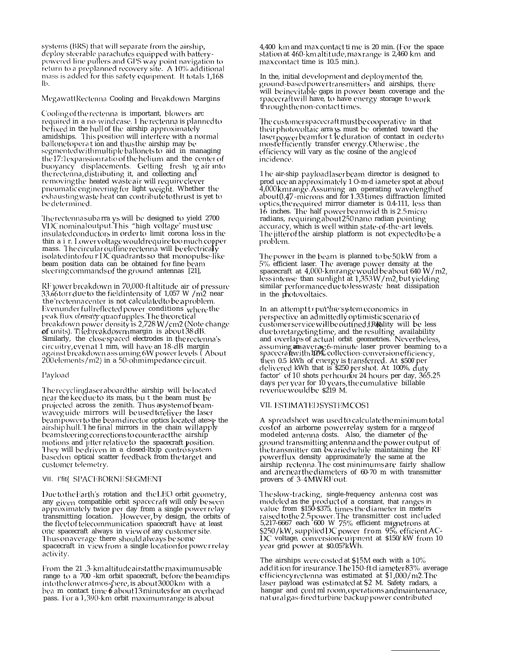systems (BRS) that will separate from the airship, deploy steerable parachutes equipped with batterypowered line pullers and GPS way point navigation to return to a preplanned recovery site. A 10% additional mass is added for this safety equipment. It totals 1,168 lb.

MegawattRectenna Cooling and Breakdown Margins

Cooling of the rectenna is important, blowers arc required in a no-windcase. 1 herectenna is planned to befixed in the hull of the airship approximately amidships. This position will interfere with a normal ballonetoperat ion and thus the airship may be segmented with multiple ballonets to aid in managing the 17:1expansion ratio of the helium and the center of buoyancy displacements. Getting fresh ig air into the rectenna, distributing it, and collecting and removing the heated wasteair will require clever pneumatic engineering for light weight. Whether the exhausting waste heat can contribute to thrust is yet to be determined.

The rectenna suba rra ys will be designed to yield 2700<br>VDC nominal output. This "high voltage" must use insulated conductors in order to limit coronal oss in the thin a i r. Lowervoltage would require toomuch copper mass. The circular outline rectenna will be electrically isolated into four DC quadrants so that monopulse-like beam position data can be obtained for fine beam steering commands of the ground antennas [21],

RF jower breakdown in 70,000-ft altitude air of pressure 33.66 torr due to the field intensity of 1,057 W /m2 near the rectenna center is not calculated to be a problem. Even under full reflected power conditions where the<br>peak flux consity quadrupples. The theoretical<br>breakdown power density is 2,728 W/cm2 (Note change of units). The breakdown margin is about 38 dB.<br>Similarly, the closespaced electrodes in the rectenna's circuitry, even at 1 mm, will have an 18-dB margin against breakdown ass uming 6W power levels ("About" 200 elements/m2) in a 50-ohm impedance circuit.

## Payload

The recyclinglaser aboard the airship will belocated near the keeklucto its mass, but the beam must be projected across the zenith. Thus asystem of beamwaveguide mirrors will be used to eliver the laser beampower to the beamdirector optics located ate>p the airshiphull. The final mirrors in the chain will apply beamsteering corrections to counteract the airship<br>motions and jitter relative to the spacecraft position. They will be driven in a closed-ltx)p controsystem basedon optical scatter feedback from the target and customer telemetry.

## VII. Pfit{ SPACEBORNESEGMENT

Due to the Earth's rotation and the LEO orbit geometry, any given compatible orbit spacecraft will only be seen approximately twice per day from a single power relay<br>transmitting location. } lowever, by design, the orbits of<br>the flect of telecommunication spacecraft have at least one spacecraft always in view of any customer site. Thus on average there should always be some spacecraft in viewfrom a single location for power relay activity.

From the 21 .3-km altitude airstat the maximum usable range to a 700 -km orbit spacecraft, before the beamdips into the lower atmosspere, is about 3000km with a bea m contact time 6 about 13 minutes for an overhead pass. For a 1,390-km orbit maximum range is about

4,400 km and max contact ti me is 20 min. (For the space station at 460-km altitude, max range is 2,460 km and max contact time is 10.5 min.).

In the, initial development and deployment of the, ground-basedpower transmitters and airships, there will be inevitable gaps in power beam coverage and the spacecraftwill have, to have energy storage to work through the non-contact times.

The customer spacecraft must be cooperative in that their photovoltaic arra ys must be oriented toward the laser power beamfort leduration of contact in order to most efficiently transfer energy. Otherwise, the efficiency will vary as the cosine of the angle of incidence.

1 he air-ship payloadlaser beam director is designed to prod uce an approximately 1 O-m-d iameter spot at about 4,000 kmrange. Assuming an operating wavelength of<br>about 0.47 - microns and for 1.33 times diffraction limited optics, the required mirror diameter is 0.4-111, less than 16 inches. The half power beamwid th is 2.5 micro radians, requiring about 250 nano radian pointing accuracy, which is well within state-of-the-art levels. The jitter of the airship platform is not expected to be a problem.

The power in the beam is planned to be 50 kW from a 5% efficient laser. The average power density at the spacecraft at 4,000-km range would be about 640 W/m2, less intense than sunlight at 1,353 W/m2, but yielding similar performance due to less waste heat dissipation<br>in the photovoltaics.

In an attempt to put the system economics in perspective an admittedly optimistic scenario of customer service will be outfined. J.R.Bality will be less due to retargeting time, and the resulting availability<br>and overlaps of actual orbit geometries. Nevertheless,<br>assuming an average 6-minute laser prover beaming to a<br>spacecraftwith II0% collection-conversion efficiency, then 0.5 kWh of energy is transferred. At \$500 per<br>delivered kWh that is \$250 per shot. At 100%, duty factor' of 10 shots per hourfor 24 hours per day, 365.25 days per year for 10 years, the cumulative billable revenue would be \$219 M.

#### VII. ESTIMATEDSYSTEMCOS1

A spreadsheet was used to calculate the minimum total cost of an airborne powerrelay system for a range of<br>modeled antenna costs. Also, the diameter of the ground transmitting antenna and the power output of the transmitter can ewaried while maintaining the RF<br>powerflux density approximately the same at the airship rectenna. The cost minimums are fairly shallow and are near the diameters of 60-70 m with transmitter provers of 3-4MWRFout.

The slow-tracking, single-frequency antenna cost was modeled as the product of a constant, that ranges in<br>value from \$150-\$375, times the diameter in mete's<br>raised to the 2.5 power. The transmitter cost included<br>5.217-6667 each 600 W 75% efficient magnetrons at \$250/kW, supplied DC power from 95% efficient AC-DC voltage, conversion euipment at \$150/kW from 10 year grid power at \$0.05?kWh.

The airships were costed at \$15M each with a 10% addit ion for insurance. The 150-ft cliameter 83% average efficiency rectenna was estimated at \$1,000/m2. The laser payload was estimated at \$2 M. Safety radars, a hangar and cont ml room, operations and maintenanace, nat ural gas-fired turbine backup power contributed